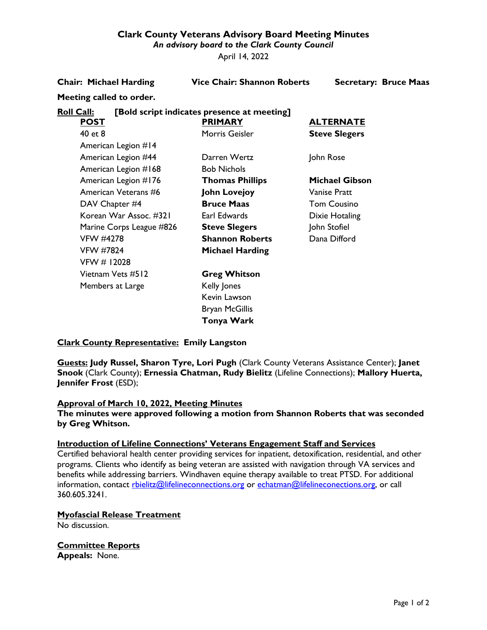## **Clark County Veterans Advisory Board Meeting Minutes**

*An advisory board to the Clark County Council*

April 14, 2022

#### **Chair: Michael Harding Vice Chair: Shannon Roberts Secretary: Bruce Maas**

# **Meeting called to order.**

## **Roll Call: [Bold script indicates presence at meeting]**

| <b>POST</b>              | <b>PRIMARY</b>         | <u>ALTERNATE</u>      |
|--------------------------|------------------------|-----------------------|
| 40 et 8                  | Morris Geisler         | <b>Steve Slegers</b>  |
| American Legion #14      |                        |                       |
| American Legion #44      | Darren Wertz           | John Rose             |
| American Legion #168     | <b>Bob Nichols</b>     |                       |
| American Legion #176     | <b>Thomas Phillips</b> | <b>Michael Gibson</b> |
| American Veterans #6     | <b>John Lovejoy</b>    | Vanise Pratt          |
| DAV Chapter #4           | <b>Bruce Maas</b>      | <b>Tom Cousino</b>    |
| Korean War Assoc. #321   | Earl Edwards           | Dixie Hotaling        |
| Marine Corps League #826 | <b>Steve Slegers</b>   | John Stofiel          |
| <b>VFW #4278</b>         | <b>Shannon Roberts</b> | Dana Difford          |
| <b>VFW #7824</b>         | Michael Harding        |                       |
| VFW # 12028              |                        |                       |
| Vietnam Vets #512        | <b>Greg Whitson</b>    |                       |
| Members at Large         | Kelly Jones            |                       |
|                          | Kevin Lawson           |                       |
|                          | <b>Bryan McGillis</b>  |                       |
|                          | Tonya Wark             |                       |

### **Clark County Representative: Emily Langston**

**Guests: Judy Russel, Sharon Tyre, Lori Pugh** (Clark County Veterans Assistance Center); **Janet Snook** (Clark County); **Ernessia Chatman, Rudy Bielitz** (Lifeline Connections); **Mallory Huerta, Jennifer Frost** (ESD);

### **Approval of March 10, 2022, Meeting Minutes**

**The minutes were approved following a motion from Shannon Roberts that was seconded by Greg Whitson.**

### **Introduction of Lifeline Connections' Veterans Engagement Staff and Services**

Certified behavioral health center providing services for inpatient, detoxification, residential, and other programs. Clients who identify as being veteran are assisted with navigation through VA services and benefits while addressing barriers. Windhaven equine therapy available to treat PTSD. For additional information, contact [rbielitz@lifelineconnections.org](mailto:rbielitz@lifelineconnections.org) or [echatman@lifelineconections.org,](mailto:echatman@lifelineconections.org) or call 360.605.3241.

### **Myofascial Release Treatment**

No discussion.

**Committee Reports Appeals:** None.